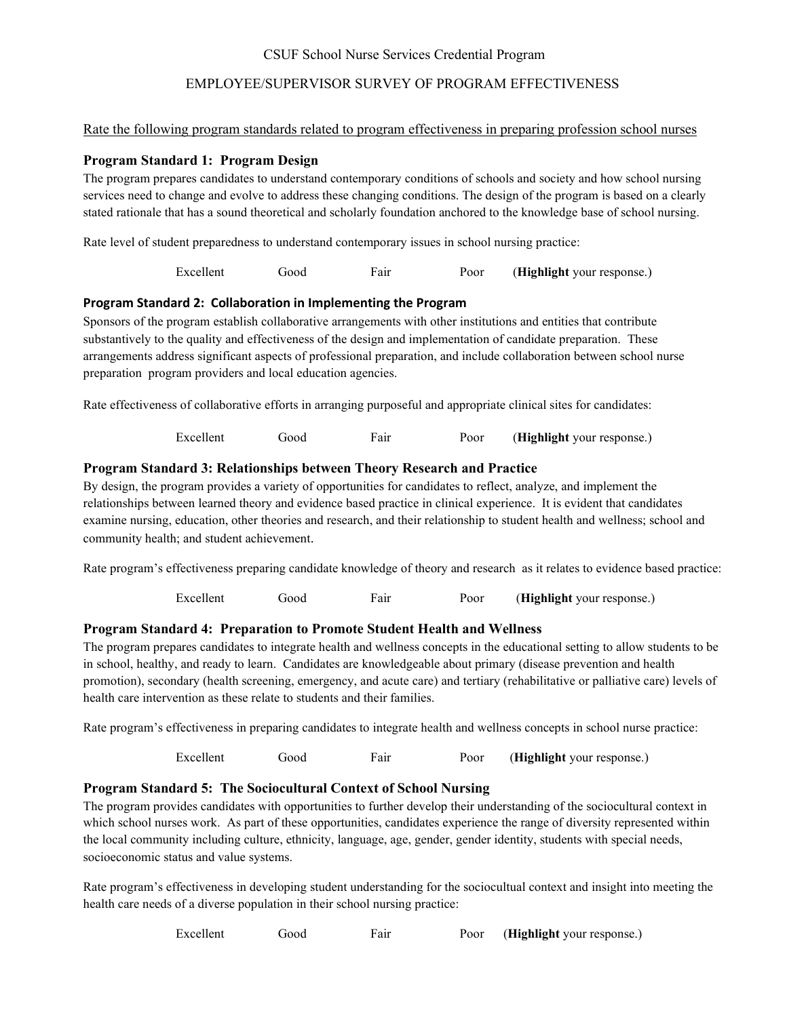## CSUF School Nurse Services Credential Program

# EMPLOYEE/SUPERVISOR SURVEY OF PROGRAM EFFECTIVENESS

## Rate the following program standards related to program effectiveness in preparing profession school nurses

## **Program Standard 1: Program Design**

The program prepares candidates to understand contemporary conditions of schools and society and how school nursing services need to change and evolve to address these changing conditions. The design of the program is based on a clearly stated rationale that has a sound theoretical and scholarly foundation anchored to the knowledge base of school nursing.

Rate level of student preparedness to understand contemporary issues in school nursing practice:

Excellent Good Fair Poor (**Highlight** your response.)

## **Program Standard 2: Collaboration in Implementing the Program**

Sponsors of the program establish collaborative arrangements with other institutions and entities that contribute substantively to the quality and effectiveness of the design and implementation of candidate preparation. These arrangements address significant aspects of professional preparation, and include collaboration between school nurse preparation program providers and local education agencies.

Rate effectiveness of collaborative efforts in arranging purposeful and appropriate clinical sites for candidates:

Excellent Good Fair Poor (**Highlight** your response.)

## **Program Standard 3: Relationships between Theory Research and Practice**

By design, the program provides a variety of opportunities for candidates to reflect, analyze, and implement the relationships between learned theory and evidence based practice in clinical experience. It is evident that candidates examine nursing, education, other theories and research, and their relationship to student health and wellness; school and community health; and student achievement.

Rate program's effectiveness preparing candidate knowledge of theory and research as it relates to evidence based practice:

Excellent Good Fair Poor (**Highlight** your response.)

## **Program Standard 4: Preparation to Promote Student Health and Wellness**

The program prepares candidates to integrate health and wellness concepts in the educational setting to allow students to be in school, healthy, and ready to learn. Candidates are knowledgeable about primary (disease prevention and health promotion), secondary (health screening, emergency, and acute care) and tertiary (rehabilitative or palliative care) levels of health care intervention as these relate to students and their families.

Rate program's effectiveness in preparing candidates to integrate health and wellness concepts in school nurse practice:

Excellent Good Fair Poor (**Highlight** your response.)

# **Program Standard 5: The Sociocultural Context of School Nursing**

The program provides candidates with opportunities to further develop their understanding of the sociocultural context in which school nurses work. As part of these opportunities, candidates experience the range of diversity represented within the local community including culture, ethnicity, language, age, gender, gender identity, students with special needs, socioeconomic status and value systems.

Rate program's effectiveness in developing student understanding for the sociocultual context and insight into meeting the health care needs of a diverse population in their school nursing practice:

Excellent Good Fair Poor (**Highlight** your response.)